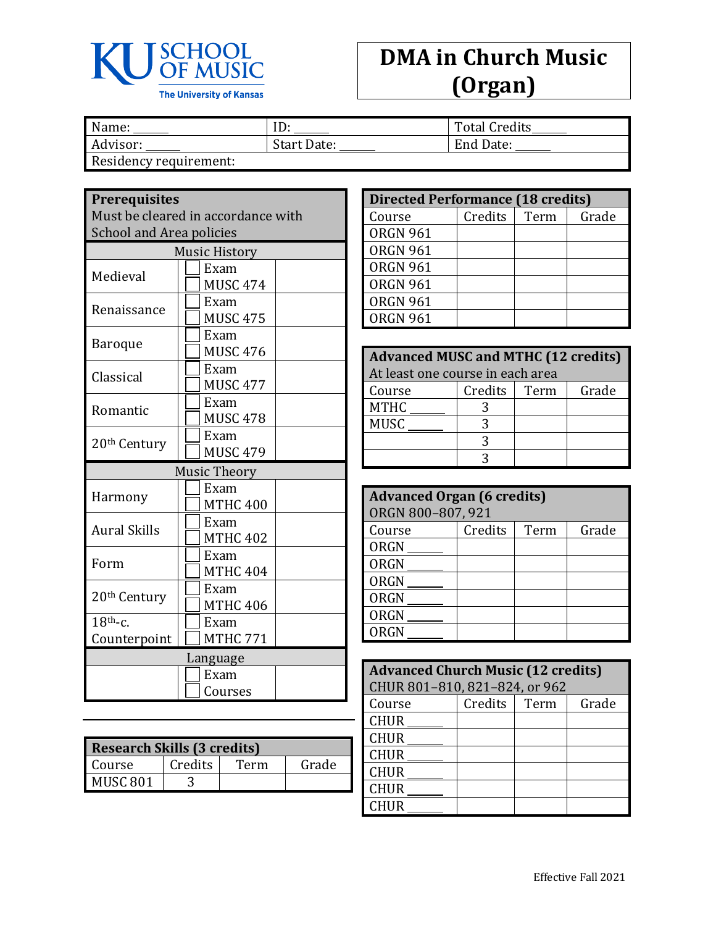

## **DMA in Church Music (Organ)**

| Name:                  | ID:         | <b>Total Credits</b> |
|------------------------|-------------|----------------------|
| Advisor:               | Start Date: | End Date:            |
| Residency requirement: |             |                      |

**Prerequisites**

| Must be cleared in accordance with                  |                         |  |  |
|-----------------------------------------------------|-------------------------|--|--|
| <b>School and Area policies</b>                     |                         |  |  |
|                                                     | <b>Music History</b>    |  |  |
| Medieval                                            | Exam<br><b>MUSC 474</b> |  |  |
| Renaissance                                         | Exam<br><b>MUSC 475</b> |  |  |
| <b>Baroque</b>                                      | Exam<br><b>MUSC 476</b> |  |  |
| Classical                                           | Exam<br><b>MUSC 477</b> |  |  |
| Romantic                                            | Exam<br><b>MUSC 478</b> |  |  |
| 20 <sup>th</sup> Century                            | Exam<br><b>MUSC 479</b> |  |  |
|                                                     | <b>Music Theory</b>     |  |  |
| Harmony                                             | Exam<br><b>MTHC 400</b> |  |  |
| <b>Aural Skills</b>                                 | Exam<br><b>MTHC 402</b> |  |  |
| Form                                                | Exam<br><b>MTHC 404</b> |  |  |
| Exam<br>20 <sup>th</sup> Century<br><b>MTHC 406</b> |                         |  |  |
| $18^{th}$ -c.                                       | Exam                    |  |  |
| Counterpoint                                        | <b>MTHC 771</b>         |  |  |
| Language                                            |                         |  |  |
|                                                     | Exam                    |  |  |
| Courses                                             |                         |  |  |

| <b>Research Skills (3 credits)</b> |         |      |       |
|------------------------------------|---------|------|-------|
| Course                             | Credits | Term | Grade |
| <b>MUSC 801</b>                    |         |      |       |

| <b>Directed Performance (18 credits)</b> |         |      |       |  |
|------------------------------------------|---------|------|-------|--|
| Course                                   | Credits | Term | Grade |  |
| <b>ORGN 961</b>                          |         |      |       |  |
| <b>ORGN 961</b>                          |         |      |       |  |
| <b>ORGN 961</b>                          |         |      |       |  |
| <b>ORGN 961</b>                          |         |      |       |  |
| <b>ORGN 961</b>                          |         |      |       |  |
| <b>ORGN 961</b>                          |         |      |       |  |

| <b>Advanced MUSC and MTHC (12 credits)</b> |         |      |       |  |
|--------------------------------------------|---------|------|-------|--|
| At least one course in each area           |         |      |       |  |
| Course                                     | Credits | Term | Grade |  |
| <b>MTHC</b>                                |         |      |       |  |
| <b>MUSC</b>                                |         |      |       |  |
|                                            |         |      |       |  |
|                                            |         |      |       |  |

| <b>Advanced Organ (6 credits)</b> |                   |      |       |  |
|-----------------------------------|-------------------|------|-------|--|
|                                   | ORGN 800-807, 921 |      |       |  |
| Course                            | Credits           | Term | Grade |  |
| ORGN                              |                   |      |       |  |
| <b>ORGN</b>                       |                   |      |       |  |
| ORGN                              |                   |      |       |  |
| ORGN                              |                   |      |       |  |
| <b>ORGN</b>                       |                   |      |       |  |
| <b>ORGN</b>                       |                   |      |       |  |

| <b>Advanced Church Music (12 credits)</b> |         |      |       |
|-------------------------------------------|---------|------|-------|
| CHUR 801-810, 821-824, or 962             |         |      |       |
| Course                                    | Credits | Term | Grade |
| <b>CHUR</b>                               |         |      |       |
| <b>CHUR</b>                               |         |      |       |
| <b>CHUR</b>                               |         |      |       |
| <b>CHUR</b>                               |         |      |       |
| <b>CHUR</b>                               |         |      |       |
| <b>CHUR</b>                               |         |      |       |